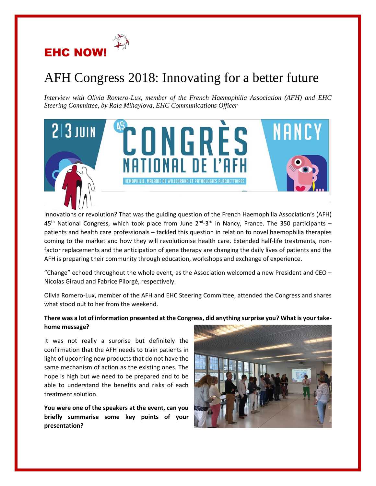

# AFH Congress 2018: Innovating for a better future

*Interview with Olivia Romero-Lux, member of the French Haemophilia Association (AFH) and EHC Steering Committee, by Raia Mihaylova, EHC Communications Officer* 



Innovations or revolution? That was the guiding question of the French Haemophilia Association's (AFH) 45<sup>th</sup> National Congress, which took place from June 2<sup>nd</sup>-3<sup>rd</sup> in Nancy, France. The 350 participants – patients and health care professionals – tackled this question in relation to novel haemophilia therapies coming to the market and how they will revolutionise health care. Extended half-life treatments, nonfactor replacements and the anticipation of gene therapy are changing the daily lives of patients and the AFH is preparing their community through education, workshops and exchange of experience.

"Change" echoed throughout the whole event, as the Association welcomed a new President and CEO  $-$ Nicolas Giraud and Fabrice Pilorgé, respectively.

Olivia Romero-Lux, member of the AFH and EHC Steering Committee, attended the Congress and shares what stood out to her from the weekend.

## **There was a lot of information presented at the Congress, did anything surprise you? What is your takehome message?**

It was not really a surprise but definitely the confirmation that the AFH needs to train patients in light of upcoming new products that do not have the same mechanism of action as the existing ones. The hope is high but we need to be prepared and to be able to understand the benefits and risks of each treatment solution.

**You were one of the speakers at the event, can you briefly summarise some key points of your presentation?** 

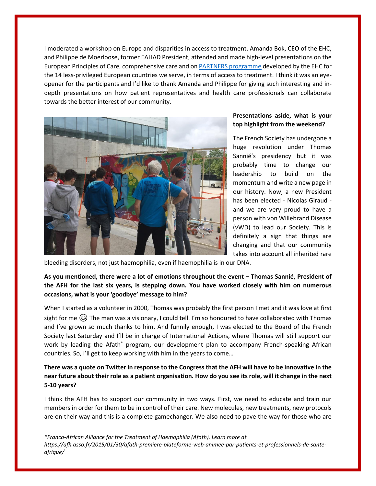I moderated a workshop on Europe and disparities in access to treatment. Amanda Bok, CEO of the EHC, and Philippe de Moerloose, former EAHAD President, attended and made high-level presentations on the European Principles of Care, comprehensive care and on [PARTNERS programme](https://www.ehc.eu/partners/) developed by the EHC for the 14 less-privileged European countries we serve, in terms of access to treatment. I think it was an eyeopener for the participants and I'd like to thank Amanda and Philippe for giving such interesting and indepth presentations on how patient representatives and health care professionals can collaborate towards the better interest of our community.



#### **Presentations aside, what is your top highlight from the weekend?**

The French Society has undergone a huge revolution under Thomas Sannié's presidency but it was probably time to change our leadership to build on the momentum and write a new page in our history. Now, a new President has been elected - Nicolas Giraud and we are very proud to have a person with von Willebrand Disease (vWD) to lead our Society. This is definitely a sign that things are changing and that our community takes into account all inherited rare

bleeding disorders, not just haemophilia, even if haemophilia is in our DNA.

## **As you mentioned, there were a lot of emotions throughout the event – Thomas Sannié, President of the AFH for the last six years, is stepping down. You have worked closely with him on numerous occasions, what is your 'goodbye' message to him?**

When I started as a volunteer in 2000, Thomas was probably the first person I met and it was love at first sight for me  $\circledast$ ) The man was a visionary, I could tell. I'm so honoured to have collaborated with Thomas and I've grown so much thanks to him. And funnily enough, I was elected to the Board of the French Society last Saturday and I'll be in charge of International Actions, where Thomas will still support our work by leading the Afath<sup>\*</sup> program, our development plan to accompany French-speaking African countries. So, I'll get to keep working with him in the years to come…

## **There was a quote on Twitter in response to the Congressthat the AFH will have to be innovative in the near future about their role as a patient organisation. How do you see its role, will it change in the next 5-10 years?**

I think the AFH has to support our community in two ways. First, we need to educate and train our members in order for them to be in control of their care. New molecules, new treatments, new protocols are on their way and this is a complete gamechanger. We also need to pave the way for those who are

*\*Franco-African Alliance for the Treatment of Haemophilia (Afath). Learn more at https://afh.asso.fr/2015/01/30/afath-premiere-plateforme-web-animee-par-patients-et-professionnels-de-santeafrique/*